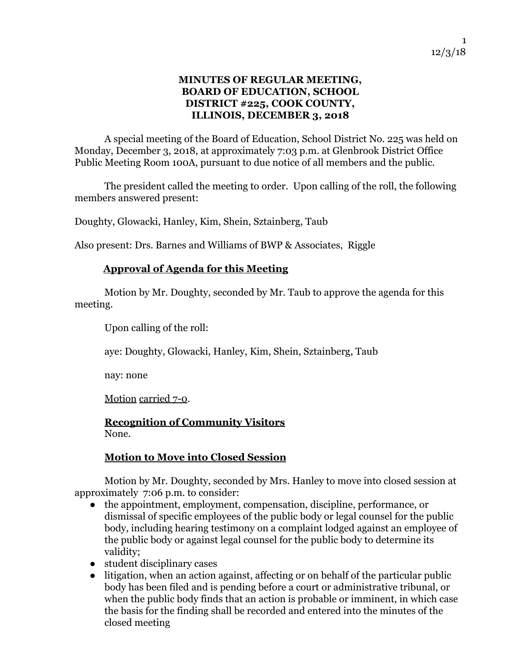### **MINUTES OF REGULAR MEETING, BOARD OF EDUCATION, SCHOOL DISTRICT #225, COOK COUNTY, ILLINOIS, DECEMBER 3, 2018**

A special meeting of the Board of Education, School District No. 225 was held on Monday, December 3, 2018, at approximately 7:03 p.m. at Glenbrook District Office Public Meeting Room 100A, pursuant to due notice of all members and the public.

The president called the meeting to order. Upon calling of the roll, the following members answered present:

Doughty, Glowacki, Hanley, Kim, Shein, Sztainberg, Taub

Also present: Drs. Barnes and Williams of BWP & Associates, Riggle

### **Approval of Agenda for this Meeting**

Motion by Mr. Doughty, seconded by Mr. Taub to approve the agenda for this meeting.

Upon calling of the roll:

aye: Doughty, Glowacki, Hanley, Kim, Shein, Sztainberg, Taub

nay: none

Motion carried 7-0.

**Recognition of Community Visitors** None.

### **Motion to Move into Closed Session**

Motion by Mr. Doughty, seconded by Mrs. Hanley to move into closed session at approximately 7:06 p.m. to consider:

- the appointment, employment, compensation, discipline, performance, or dismissal of specific employees of the public body or legal counsel for the public body, including hearing testimony on a complaint lodged against an employee of the public body or against legal counsel for the public body to determine its validity;
- student disciplinary cases
- litigation, when an action against, affecting or on behalf of the particular public body has been filed and is pending before a court or administrative tribunal, or when the public body finds that an action is probable or imminent, in which case the basis for the finding shall be recorded and entered into the minutes of the closed meeting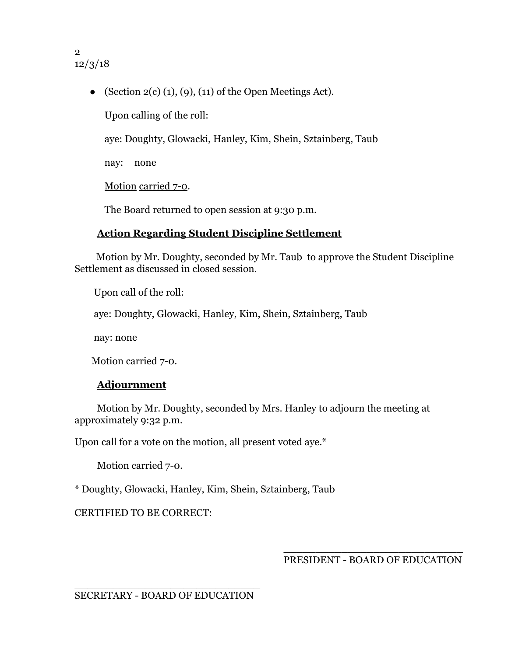2 12/3/18

• (Section  $2(c)$  (1), (9), (11) of the Open Meetings Act).

Upon calling of the roll:

aye: Doughty, Glowacki, Hanley, Kim, Shein, Sztainberg, Taub

nay: none

Motion carried 7-0.

The Board returned to open session at 9:30 p.m.

# **Action Regarding Student Discipline Settlement**

 Motion by Mr. Doughty, seconded by Mr. Taub to approve the Student Discipline Settlement as discussed in closed session.

Upon call of the roll:

aye: Doughty, Glowacki, Hanley, Kim, Shein, Sztainberg, Taub

nay: none

Motion carried 7-0.

# **Adjournment**

Motion by Mr. Doughty, seconded by Mrs. Hanley to adjourn the meeting at approximately 9:32 p.m.

Upon call for a vote on the motion, all present voted aye.\*

Motion carried 7-0.

\* Doughty, Glowacki, Hanley, Kim, Shein, Sztainberg, Taub

CERTIFIED TO BE CORRECT:

\_\_\_\_\_\_\_\_\_\_\_\_\_\_\_\_\_\_\_\_\_\_\_\_\_\_\_\_ PRESIDENT - BOARD OF EDUCATION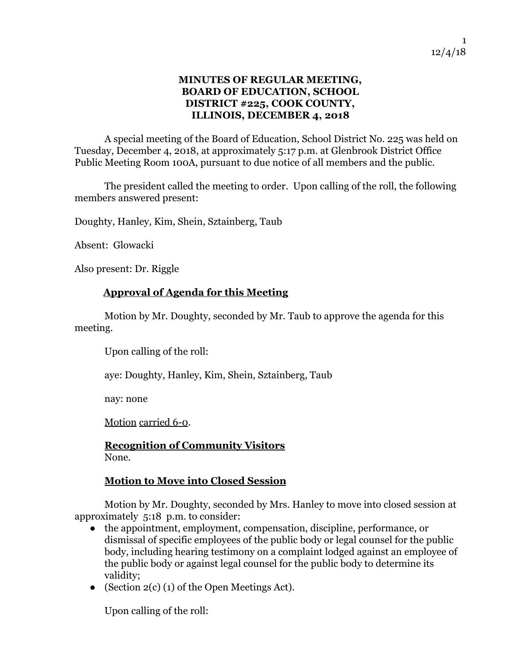### **MINUTES OF REGULAR MEETING, BOARD OF EDUCATION, SCHOOL DISTRICT #225, COOK COUNTY, ILLINOIS, DECEMBER 4, 2018**

A special meeting of the Board of Education, School District No. 225 was held on Tuesday, December 4, 2018, at approximately 5:17 p.m. at Glenbrook District Office Public Meeting Room 100A, pursuant to due notice of all members and the public.

The president called the meeting to order. Upon calling of the roll, the following members answered present:

Doughty, Hanley, Kim, Shein, Sztainberg, Taub

Absent: Glowacki

Also present: Dr. Riggle

### **Approval of Agenda for this Meeting**

Motion by Mr. Doughty, seconded by Mr. Taub to approve the agenda for this meeting.

Upon calling of the roll:

aye: Doughty, Hanley, Kim, Shein, Sztainberg, Taub

nay: none

Motion carried 6-0.

**Recognition of Community Visitors** None.

### **Motion to Move into Closed Session**

Motion by Mr. Doughty, seconded by Mrs. Hanley to move into closed session at approximately 5:18 p.m. to consider:

- the appointment, employment, compensation, discipline, performance, or dismissal of specific employees of the public body or legal counsel for the public body, including hearing testimony on a complaint lodged against an employee of the public body or against legal counsel for the public body to determine its validity;
- (Section  $2(c)$  (1) of the Open Meetings Act).

Upon calling of the roll: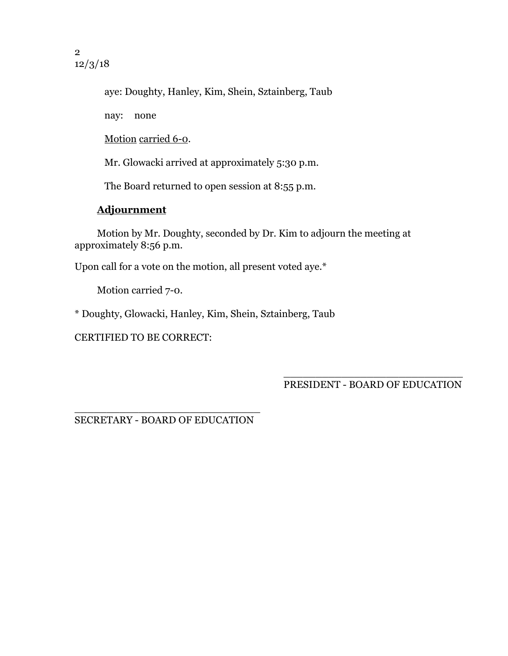aye: Doughty, Hanley, Kim, Shein, Sztainberg, Taub

nay: none

Motion carried 6-0.

Mr. Glowacki arrived at approximately 5:30 p.m.

The Board returned to open session at 8:55 p.m.

# **Adjournment**

Motion by Mr. Doughty, seconded by Dr. Kim to adjourn the meeting at approximately 8:56 p.m.

Upon call for a vote on the motion, all present voted aye.\*

Motion carried 7-0.

\* Doughty, Glowacki, Hanley, Kim, Shein, Sztainberg, Taub

CERTIFIED TO BE CORRECT:

\_\_\_\_\_\_\_\_\_\_\_\_\_\_\_\_\_\_\_\_\_\_\_\_\_\_\_\_ PRESIDENT - BOARD OF EDUCATION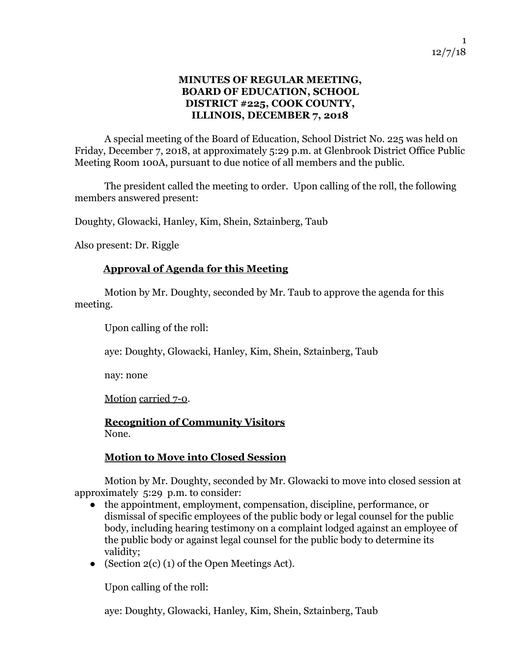### **MINUTES OF REGULAR MEETING, BOARD OF EDUCATION, SCHOOL DISTRICT #225, COOK COUNTY, ILLINOIS, DECEMBER 7, 2018**

A special meeting of the Board of Education, School District No. 225 was held on Friday, December 7, 2018, at approximately 5:29 p.m. at Glenbrook District Office Public Meeting Room 100A, pursuant to due notice of all members and the public.

The president called the meeting to order. Upon calling of the roll, the following members answered present:

Doughty, Glowacki, Hanley, Kim, Shein, Sztainberg, Taub

Also present: Dr. Riggle

### **Approval of Agenda for this Meeting**

Motion by Mr. Doughty, seconded by Mr. Taub to approve the agenda for this meeting.

Upon calling of the roll:

aye: Doughty, Glowacki, Hanley, Kim, Shein, Sztainberg, Taub

nay: none

Motion carried 7-0.

**Recognition of Community Visitors** None.

### **Motion to Move into Closed Session**

Motion by Mr. Doughty, seconded by Mr. Glowacki to move into closed session at approximately 5:29 p.m. to consider:

- the appointment, employment, compensation, discipline, performance, or dismissal of specific employees of the public body or legal counsel for the public body, including hearing testimony on a complaint lodged against an employee of the public body or against legal counsel for the public body to determine its validity;
- (Section  $2(c)$  (1) of the Open Meetings Act).

Upon calling of the roll:

aye: Doughty, Glowacki, Hanley, Kim, Shein, Sztainberg, Taub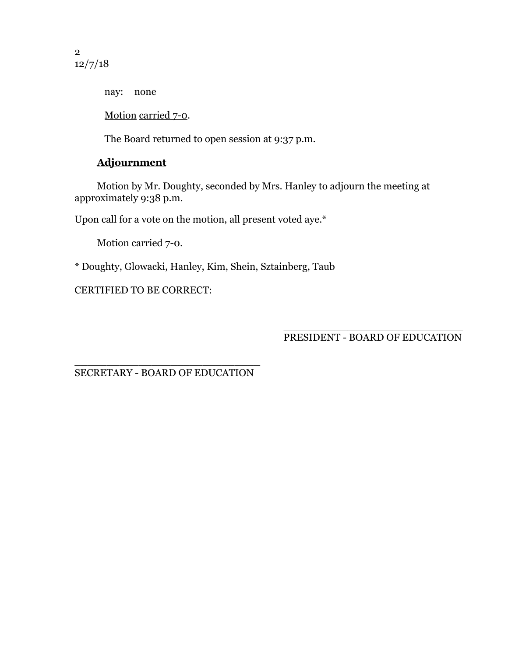2 12/7/18

nay: none

Motion carried 7-0.

The Board returned to open session at 9:37 p.m.

# **Adjournment**

Motion by Mr. Doughty, seconded by Mrs. Hanley to adjourn the meeting at approximately 9:38 p.m.

Upon call for a vote on the motion, all present voted aye.\*

Motion carried 7-0.

\* Doughty, Glowacki, Hanley, Kim, Shein, Sztainberg, Taub

CERTIFIED TO BE CORRECT:

\_\_\_\_\_\_\_\_\_\_\_\_\_\_\_\_\_\_\_\_\_\_\_\_\_\_\_\_ PRESIDENT - BOARD OF EDUCATION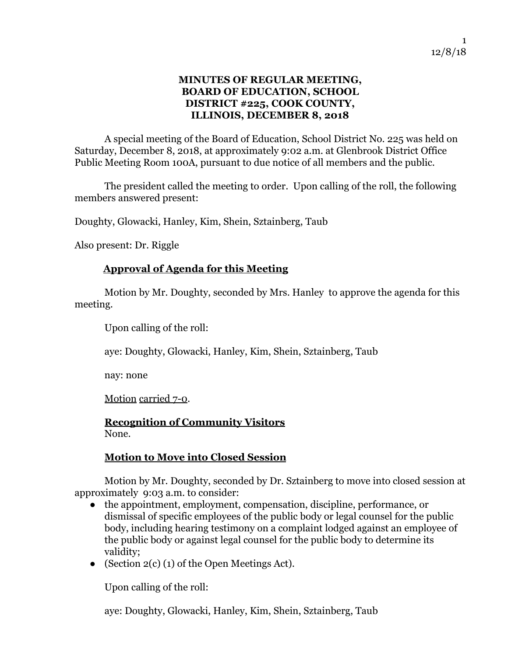### **MINUTES OF REGULAR MEETING, BOARD OF EDUCATION, SCHOOL DISTRICT #225, COOK COUNTY, ILLINOIS, DECEMBER 8, 2018**

A special meeting of the Board of Education, School District No. 225 was held on Saturday, December 8, 2018, at approximately 9:02 a.m. at Glenbrook District Office Public Meeting Room 100A, pursuant to due notice of all members and the public.

The president called the meeting to order. Upon calling of the roll, the following members answered present:

Doughty, Glowacki, Hanley, Kim, Shein, Sztainberg, Taub

Also present: Dr. Riggle

### **Approval of Agenda for this Meeting**

Motion by Mr. Doughty, seconded by Mrs. Hanley to approve the agenda for this meeting.

Upon calling of the roll:

aye: Doughty, Glowacki, Hanley, Kim, Shein, Sztainberg, Taub

nay: none

Motion carried 7-0.

**Recognition of Community Visitors** None.

### **Motion to Move into Closed Session**

Motion by Mr. Doughty, seconded by Dr. Sztainberg to move into closed session at approximately 9:03 a.m. to consider:

- the appointment, employment, compensation, discipline, performance, or dismissal of specific employees of the public body or legal counsel for the public body, including hearing testimony on a complaint lodged against an employee of the public body or against legal counsel for the public body to determine its validity;
- (Section  $2(c)$  (1) of the Open Meetings Act).

Upon calling of the roll:

aye: Doughty, Glowacki, Hanley, Kim, Shein, Sztainberg, Taub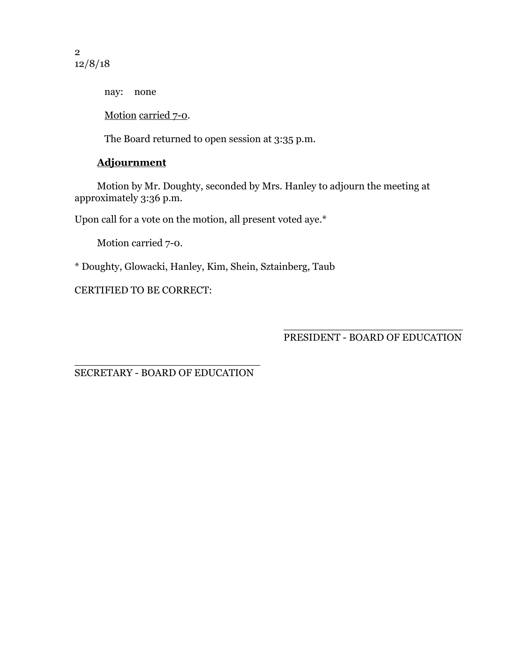2 12/8/18

nay: none

Motion carried 7-0.

The Board returned to open session at 3:35 p.m.

# **Adjournment**

Motion by Mr. Doughty, seconded by Mrs. Hanley to adjourn the meeting at approximately 3:36 p.m.

Upon call for a vote on the motion, all present voted aye.\*

Motion carried 7-0.

\* Doughty, Glowacki, Hanley, Kim, Shein, Sztainberg, Taub

CERTIFIED TO BE CORRECT:

\_\_\_\_\_\_\_\_\_\_\_\_\_\_\_\_\_\_\_\_\_\_\_\_\_\_\_\_ PRESIDENT - BOARD OF EDUCATION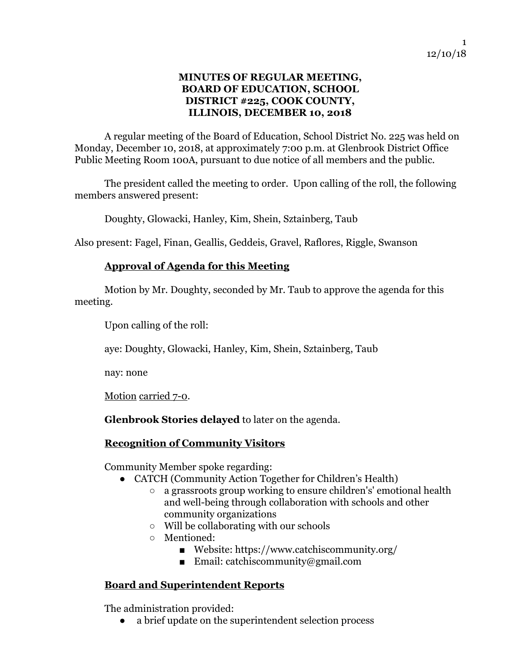### **MINUTES OF REGULAR MEETING, BOARD OF EDUCATION, SCHOOL DISTRICT #225, COOK COUNTY, ILLINOIS, DECEMBER 10, 2018**

A regular meeting of the Board of Education, School District No. 225 was held on Monday, December 10, 2018, at approximately 7:00 p.m. at Glenbrook District Office Public Meeting Room 100A, pursuant to due notice of all members and the public.

The president called the meeting to order. Upon calling of the roll, the following members answered present:

Doughty, Glowacki, Hanley, Kim, Shein, Sztainberg, Taub

Also present: Fagel, Finan, Geallis, Geddeis, Gravel, Raflores, Riggle, Swanson

### **Approval of Agenda for this Meeting**

Motion by Mr. Doughty, seconded by Mr. Taub to approve the agenda for this meeting.

Upon calling of the roll:

aye: Doughty, Glowacki, Hanley, Kim, Shein, Sztainberg, Taub

nay: none

Motion carried 7-0.

**Glenbrook Stories delayed** to later on the agenda.

### **Recognition of Community Visitors**

Community Member spoke regarding:

- CATCH (Community Action Together for Children's Health)
	- a grassroots group working to ensure children's' emotional health and well-being through collaboration with schools and other community organizations
	- Will be collaborating with our schools
	- Mentioned:
		- Website: <https://www.catchiscommunity.org/>
		- Email: [catchiscommunity@gmail.com](mailto:catchiscommunity@gmail.com)

### **Board and Superintendent Reports**

The administration provided:

a brief update on the superintendent selection process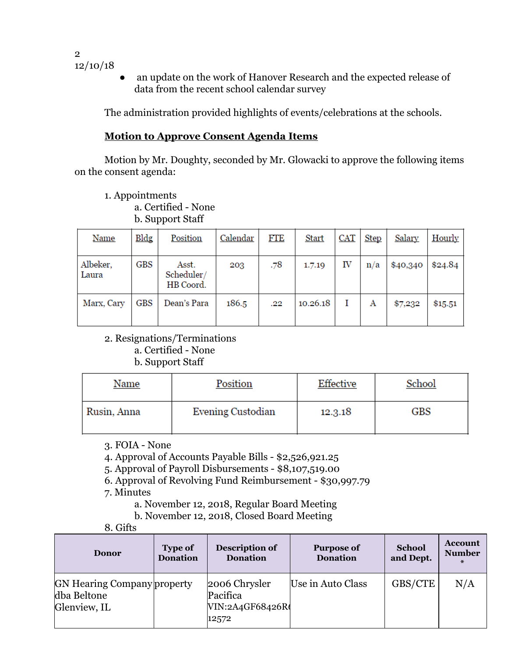- 2 12/10/18
- an update on the work of Hanover Research and the expected release of data from the recent school calendar survey

The administration provided highlights of events/celebrations at the schools.

# **Motion to Approve Consent Agenda Items**

Motion by Mr. Doughty, seconded by Mr. Glowacki to approve the following items on the consent agenda:

- 1. Appointments
	- a. Certified None

b. Support Staff

| <b>Name</b>       | Bldg | Position                         | Calendar | FTE | <b>Start</b> | <b>CAT</b> | <b>Step</b> | Salary   | <b>Hourly</b> |
|-------------------|------|----------------------------------|----------|-----|--------------|------------|-------------|----------|---------------|
| Albeker,<br>Laura | GBS  | Asst.<br>Scheduler/<br>HB Coord. | 203      | .78 | 1.7.19       | IV         | n/a         | \$40,340 | \$24.84       |
| Marx, Cary        | GBS  | Dean's Para                      | 186.5    | .22 | 10.26.18     |            | Α           | \$7,232  | \$15.51       |

2. Resignations/Terminations

a. Certified - None

b. Support Staff

| Name        | Position          | Effective | School     |
|-------------|-------------------|-----------|------------|
| Rusin, Anna | Evening Custodian | 12.3.18   | <b>GBS</b> |

3. FOIA - None

4. Approval of Accounts Payable Bills - \$2,526,921.25

5. Approval of Payroll Disbursements - \$8,107,519.00

6. Approval of Revolving Fund Reimbursement - \$30,997.79

7. Minutes

a. November 12, 2018, Regular Board Meeting

b. November 12, 2018, Closed Board Meeting

8. Gifts

| <b>Donor</b>                                                      | <b>Type of</b><br><b>Donation</b> | Description of<br><b>Donation</b>                     | <b>Purpose of</b><br><b>Donation</b> | <b>School</b><br>and Dept. | <b>Account</b><br><b>Number</b><br>$\ast$ |
|-------------------------------------------------------------------|-----------------------------------|-------------------------------------------------------|--------------------------------------|----------------------------|-------------------------------------------|
| <b>GN Hearing Company property</b><br>dba Beltone<br>Glenview, IL |                                   | 2006 Chrysler<br>Pacifica<br>VIN:2A4GF68426R<br>12572 | Use in Auto Class                    | GBS/CTE                    | N/A                                       |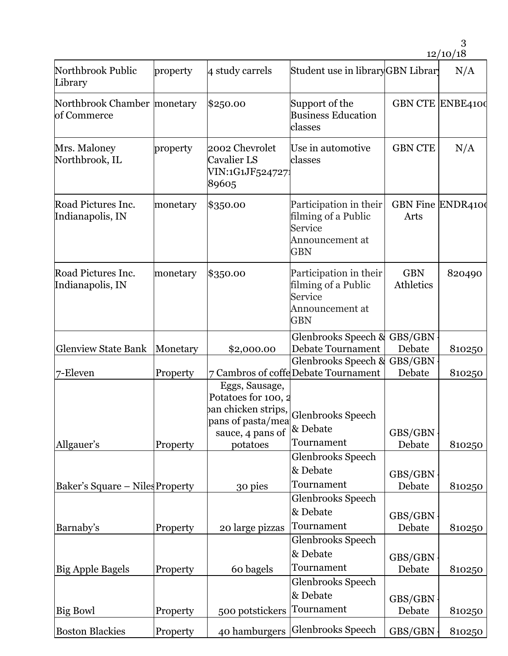| Northbrook Public<br>Library                 | property | 4 study carrels                                                                                                   | Student use in libraryGBN Library                                                         |                           | N/A    |
|----------------------------------------------|----------|-------------------------------------------------------------------------------------------------------------------|-------------------------------------------------------------------------------------------|---------------------------|--------|
| Northbrook Chamber   monetary<br>of Commerce |          | \$250.00                                                                                                          | Support of the<br><b>Business Education</b><br>classes                                    | <b>GBN CTE ENBE4100</b>   |        |
| Mrs. Maloney<br>Northbrook, IL               | property | 2002 Chevrolet<br>Cavalier LS<br>VIN:1G1JF5247271<br>89605                                                        | Use in automotive<br>classes                                                              | <b>GBN CTE</b>            | N/A    |
| Road Pictures Inc.<br>Indianapolis, IN       | monetary | \$350.00                                                                                                          | Participation in their<br>filming of a Public<br>Service<br>Announcement at<br><b>GBN</b> | GBN Fine ENDR4100<br>Arts |        |
| Road Pictures Inc.<br>Indianapolis, IN       | monetary | \$350.00                                                                                                          | Participation in their<br>filming of a Public<br>Service<br>Announcement at<br><b>GBN</b> | <b>GBN</b><br>Athletics   | 820490 |
| <b>Glenview State Bank</b>                   | Monetary | \$2,000.00                                                                                                        | Glenbrooks Speech &<br>Debate Tournament                                                  | GBS/GBN<br>Debate         | 810250 |
| 7-Eleven                                     | Property |                                                                                                                   | Glenbrooks Speech &<br>7 Cambros of coffe Debate Tournament                               | GBS/GBN<br>Debate         | 810250 |
| Allgauer's                                   | Property | Eggs, Sausage,<br>Potatoes for 100, 2<br>pan chicken strips,<br>pans of pasta/mea<br>sauce, 4 pans of<br>potatoes | <b>Glenbrooks Speech</b><br>& Debate<br>Tournament                                        | GBS/GBN<br>Debate         | 810250 |
|                                              |          |                                                                                                                   | Glenbrooks Speech<br>& Debate<br>Tournament                                               | GBS/GBN                   |        |
| Baker's Square - Niles Property              |          | 30 pies                                                                                                           | Glenbrooks Speech<br>& Debate                                                             | Debate<br>GBS/GBN         | 810250 |
| Barnaby's                                    | Property | 20 large pizzas                                                                                                   | Tournament<br>Glenbrooks Speech                                                           | Debate                    | 810250 |
| <b>Big Apple Bagels</b>                      | Property | 60 bagels                                                                                                         | & Debate<br>Tournament<br>Glenbrooks Speech                                               | GBS/GBN<br>Debate         | 810250 |
| Big Bowl                                     | Property | 500 potstickers                                                                                                   | & Debate<br>Tournament                                                                    | GBS/GBN<br>Debate         | 810250 |
| <b>Boston Blackies</b>                       | Property | 40 hamburgers                                                                                                     | Glenbrooks Speech                                                                         | GBS/GBN                   | 810250 |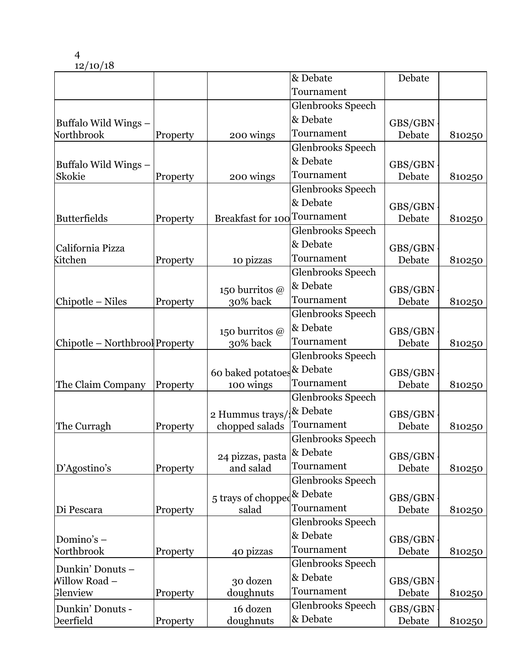|                                |          |                                     | & Debate                 | Debate            |        |
|--------------------------------|----------|-------------------------------------|--------------------------|-------------------|--------|
|                                |          |                                     | Tournament               |                   |        |
|                                |          |                                     | Glenbrooks Speech        |                   |        |
| Buffalo Wild Wings -           |          |                                     | & Debate                 | GBS/GBN           |        |
| Northbrook                     | Property | 200 wings                           | Tournament               | Debate            | 810250 |
|                                |          |                                     | Glenbrooks Speech        |                   |        |
| Buffalo Wild Wings -           |          |                                     | & Debate                 | GBS/GBN           |        |
| Skokie                         | Property | 200 wings                           | Tournament               | Debate            | 810250 |
|                                |          |                                     | Glenbrooks Speech        |                   |        |
|                                |          |                                     | & Debate                 |                   |        |
| <b>Butterfields</b>            | Property | <b>Breakfast for 100</b> Tournament |                          | GBS/GBN<br>Debate | 810250 |
|                                |          |                                     | Glenbrooks Speech        |                   |        |
|                                |          |                                     | & Debate                 |                   |        |
| California Pizza<br>Kitchen    | Property | 10 pizzas                           | Tournament               | GBS/GBN<br>Debate | 810250 |
|                                |          |                                     | Glenbrooks Speech        |                   |        |
|                                |          |                                     | & Debate                 |                   |        |
|                                |          | 150 burritos @                      | Tournament               | GBS/GBN           |        |
| Chipotle – Niles               | Property | 30% back                            | Glenbrooks Speech        | Debate            | 810250 |
|                                |          |                                     | & Debate                 |                   |        |
|                                |          | 150 burritos @                      |                          | GBS/GBN           |        |
| Chipotle - Northbrool Property |          | 30% back                            | Tournament               | Debate            | 810250 |
|                                |          |                                     | <b>Glenbrooks Speech</b> |                   |        |
|                                |          | 60 baked potatoes & Debate          |                          | GBS/GBN           |        |
| The Claim Company              | Property | 100 wings                           | Tournament               | Debate            | 810250 |
|                                |          |                                     | Glenbrooks Speech        |                   |        |
|                                |          | 2 Hummus trays/                     | & Debate                 | GBS/GBN           |        |
| The Curragh                    | Property | chopped salads                      | Tournament               | Debate            | 810250 |
|                                |          |                                     | Glenbrooks Speech        |                   |        |
|                                |          | 24 pizzas, pasta                    | & Debate                 | GBS/GBN           |        |
| D'Agostino's                   | Property | and salad                           | Tournament               | Debate            | 810250 |
|                                |          |                                     | <b>Glenbrooks Speech</b> |                   |        |
|                                |          | 5 trays of chopped & Debate         |                          | GBS/GBN           |        |
| Di Pescara                     | Property | salad                               | Tournament               | Debate            | 810250 |
|                                |          |                                     | Glenbrooks Speech        |                   |        |
| Domino's-                      |          |                                     | & Debate                 | GBS/GBN           |        |
| Northbrook                     | Property | 40 pizzas                           | Tournament               | Debate            | 810250 |
|                                |          |                                     | Glenbrooks Speech        |                   |        |
| Dunkin' Donuts-                |          |                                     | & Debate                 |                   |        |
| Willow Road –<br>Glenview      |          | 30 dozen<br>doughnuts               | Tournament               | GBS/GBN<br>Debate |        |
|                                | Property |                                     | Glenbrooks Speech        |                   | 810250 |
| Dunkin' Donuts -               |          | 16 dozen                            | & Debate                 | GBS/GBN           |        |
| Deerfield                      | Property | doughnuts                           |                          | Debate            | 810250 |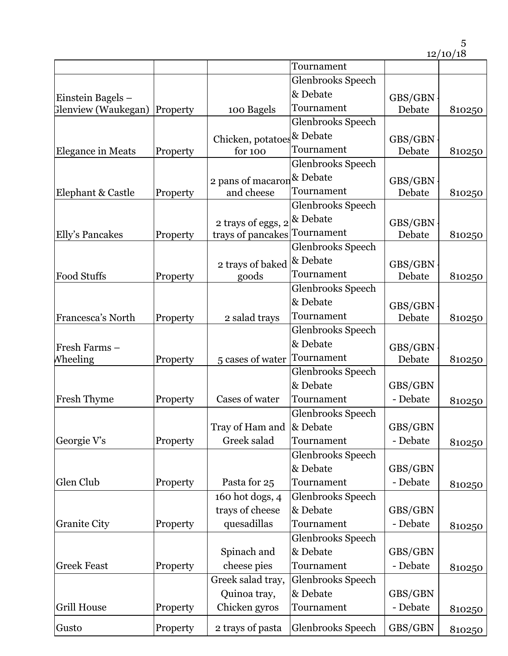|                          |          |                              | Tournament               |          |        |
|--------------------------|----------|------------------------------|--------------------------|----------|--------|
|                          |          |                              | Glenbrooks Speech        |          |        |
| Einstein Bagels -        |          |                              | & Debate                 | GBS/GBN  |        |
| Glenview (Waukegan)      | Property | 100 Bagels                   | Tournament               | Debate   | 810250 |
|                          |          |                              | <b>Glenbrooks Speech</b> |          |        |
|                          |          | Chicken, potatoes & Debate   |                          | GBS/GBN  |        |
| <b>Elegance in Meats</b> | Property | for 100                      | Tournament               | Debate   | 810250 |
|                          |          |                              | Glenbrooks Speech        |          |        |
|                          |          | 2 pans of macaron            | & Debate                 | GBS/GBN  |        |
| Elephant & Castle        | Property | and cheese                   | Tournament               | Debate   | 810250 |
|                          |          |                              | Glenbrooks Speech        |          |        |
|                          |          | 2 trays of eggs, 2           | & Debate                 | GBS/GBN  |        |
| Elly's Pancakes          | Property | trays of pancakes Tournament |                          | Debate   | 810250 |
|                          |          |                              | <b>Glenbrooks Speech</b> |          |        |
|                          |          | 2 trays of baked             | & Debate                 | GBS/GBN  |        |
| <b>Food Stuffs</b>       | Property | goods                        | Tournament               | Debate   | 810250 |
|                          |          |                              | Glenbrooks Speech        |          |        |
|                          |          |                              | & Debate                 | GBS/GBN  |        |
| Francesca's North        | Property | 2 salad trays                | Tournament               | Debate   | 810250 |
|                          |          |                              | <b>Glenbrooks Speech</b> |          |        |
| Fresh Farms -            |          |                              | & Debate                 | GBS/GBN  |        |
| Wheeling                 | Property | 5 cases of water             | Tournament               | Debate   | 810250 |
|                          |          |                              | Glenbrooks Speech        |          |        |
|                          |          |                              | & Debate                 | GBS/GBN  |        |
| Fresh Thyme              | Property | Cases of water               | Tournament               | - Debate | 810250 |
|                          |          |                              | Glenbrooks Speech        |          |        |
|                          |          | Tray of Ham and & Debate     |                          | GBS/GBN  |        |
| Georgie V's              | Property | Greek salad                  | Tournament               | - Debate | 810250 |
|                          |          |                              | Glenbrooks Speech        |          |        |
|                          |          |                              | & Debate                 | GBS/GBN  |        |
| Glen Club                | Property | Pasta for 25                 | Tournament               | - Debate | 810250 |
|                          |          | 160 hot dogs, 4              | Glenbrooks Speech        |          |        |
|                          |          | trays of cheese              | & Debate                 | GBS/GBN  |        |
| <b>Granite City</b>      | Property | quesadillas                  | Tournament               | - Debate | 810250 |
|                          |          |                              | Glenbrooks Speech        |          |        |
|                          |          | Spinach and                  | & Debate                 | GBS/GBN  |        |
| <b>Greek Feast</b>       | Property | cheese pies                  | Tournament               | - Debate | 810250 |
|                          |          | Greek salad tray,            | Glenbrooks Speech        |          |        |
|                          |          | Quinoa tray,                 | & Debate                 | GBS/GBN  |        |
| <b>Grill House</b>       | Property | Chicken gyros                | Tournament               | - Debate | 810250 |
| Gusto                    | Property | 2 trays of pasta             | Glenbrooks Speech        | GBS/GBN  | 810250 |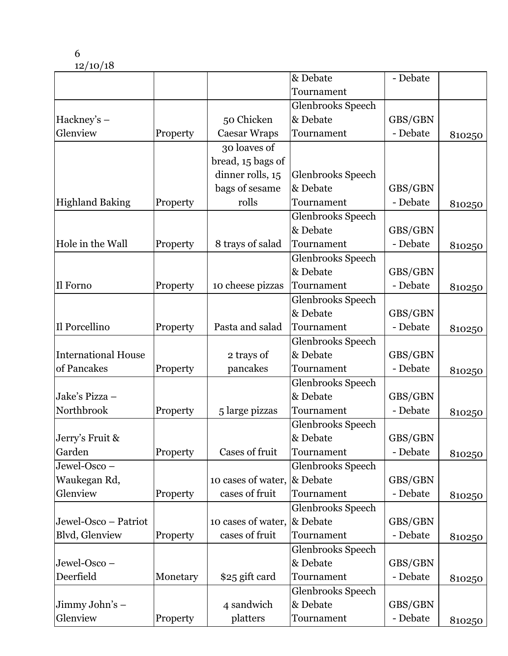|                            |          |                     | & Debate                 | - Debate |        |
|----------------------------|----------|---------------------|--------------------------|----------|--------|
|                            |          |                     | Tournament               |          |        |
|                            |          |                     | Glenbrooks Speech        |          |        |
| $Hackney's -$              |          | 50 Chicken          | & Debate                 | GBS/GBN  |        |
| Glenview                   | Property | <b>Caesar Wraps</b> | Tournament               | - Debate | 810250 |
|                            |          | 30 loaves of        |                          |          |        |
|                            |          | bread, 15 bags of   |                          |          |        |
|                            |          | dinner rolls, 15    | Glenbrooks Speech        |          |        |
|                            |          | bags of sesame      | & Debate                 | GBS/GBN  |        |
| <b>Highland Baking</b>     | Property | rolls               | Tournament               | - Debate | 810250 |
|                            |          |                     | Glenbrooks Speech        |          |        |
|                            |          |                     | & Debate                 | GBS/GBN  |        |
| Hole in the Wall           | Property | 8 trays of salad    | Tournament               | - Debate | 810250 |
|                            |          |                     | Glenbrooks Speech        |          |        |
|                            |          |                     | & Debate                 | GBS/GBN  |        |
| Il Forno                   | Property | 10 cheese pizzas    | Tournament               | - Debate | 810250 |
|                            |          |                     | Glenbrooks Speech        |          |        |
|                            |          |                     | & Debate                 | GBS/GBN  |        |
| Il Porcellino              | Property | Pasta and salad     | Tournament               | - Debate | 810250 |
|                            |          |                     | Glenbrooks Speech        |          |        |
| <b>International House</b> |          | 2 trays of          | & Debate                 | GBS/GBN  |        |
| of Pancakes                | Property | pancakes            | Tournament               | - Debate | 810250 |
|                            |          |                     | Glenbrooks Speech        |          |        |
| Jake's Pizza -             |          |                     | & Debate                 | GBS/GBN  |        |
| Northbrook                 | Property | 5 large pizzas      | Tournament               | - Debate | 810250 |
|                            |          |                     | Glenbrooks Speech        |          |        |
| Jerry's Fruit &            |          |                     | & Debate                 | GBS/GBN  |        |
| Garden                     | Property | Cases of fruit      | Tournament               | - Debate | 810250 |
| Jewel-Osco -               |          |                     | Glenbrooks Speech        |          |        |
| Waukegan Rd,               |          | 10 cases of water,  | & Debate                 | GBS/GBN  |        |
| Glenview                   | Property | cases of fruit      | Tournament               | - Debate | 810250 |
|                            |          |                     | <b>Glenbrooks Speech</b> |          |        |
| Jewel-Osco - Patriot       |          | 10 cases of water,  | & Debate                 | GBS/GBN  |        |
| Blvd, Glenview             | Property | cases of fruit      | Tournament               | - Debate | 810250 |
|                            |          |                     | Glenbrooks Speech        |          |        |
| Jewel-Osco -               |          |                     | & Debate                 | GBS/GBN  |        |
| Deerfield                  | Monetary | \$25 gift card      | Tournament               | - Debate | 810250 |
|                            |          |                     | Glenbrooks Speech        |          |        |
| Jimmy John's -             |          | 4 sandwich          | & Debate                 | GBS/GBN  |        |
| Glenview                   | Property | platters            | Tournament               | - Debate | 810250 |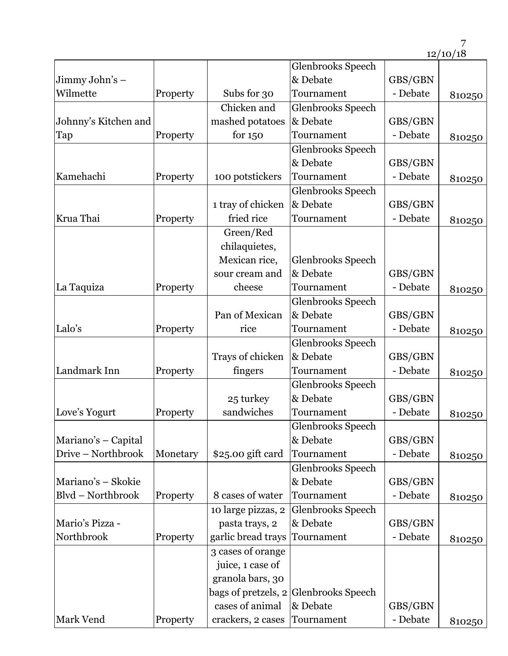|                            |          |                                       | Glenbrooks Speech<br>& Debate         |                     |        |
|----------------------------|----------|---------------------------------------|---------------------------------------|---------------------|--------|
| Jimmy John's –<br>Wilmette |          |                                       | Tournament                            | GBS/GBN<br>- Debate |        |
|                            | Property | Subs for 30                           |                                       |                     | 810250 |
|                            |          | Chicken and                           | Glenbrooks Speech                     |                     |        |
| Johnny's Kitchen and       |          | mashed potatoes                       | & Debate                              | GBS/GBN             |        |
| Tap                        | Property | for $150$                             | Tournament                            | - Debate            | 810250 |
|                            |          |                                       | Glenbrooks Speech                     |                     |        |
|                            |          |                                       | & Debate                              | GBS/GBN             |        |
| Kamehachi                  | Property | 100 potstickers                       | Tournament                            | - Debate            | 810250 |
|                            |          |                                       | <b>Glenbrooks Speech</b>              |                     |        |
|                            |          | 1 tray of chicken                     | & Debate                              | GBS/GBN             |        |
| Krua Thai                  | Property | fried rice                            | Tournament                            | - Debate            | 810250 |
|                            |          | Green/Red                             |                                       |                     |        |
|                            |          | chilaquietes,                         |                                       |                     |        |
|                            |          | Mexican rice,                         | Glenbrooks Speech                     |                     |        |
|                            |          | sour cream and                        | & Debate                              | GBS/GBN             |        |
| La Taquiza                 | Property | cheese                                | Tournament                            | - Debate            | 810250 |
|                            |          |                                       | Glenbrooks Speech                     |                     |        |
|                            |          | Pan of Mexican                        | & Debate                              | GBS/GBN             |        |
| Lalo's                     | Property | rice                                  | Tournament                            | - Debate            | 810250 |
|                            |          |                                       | Glenbrooks Speech                     |                     |        |
|                            |          | Trays of chicken                      | & Debate                              | GBS/GBN             |        |
| Landmark Inn               | Property | fingers                               | Tournament                            | - Debate            | 810250 |
|                            |          |                                       | Glenbrooks Speech                     |                     |        |
|                            |          | 25 turkey                             | & Debate                              | GBS/GBN             |        |
| Love's Yogurt              | Property | sandwiches                            | Tournament                            | - Debate            | 810250 |
|                            |          |                                       | Glenbrooks Speech                     |                     |        |
| Mariano's - Capital        |          |                                       | & Debate                              | GBS/GBN             |        |
| Drive - Northbrook         | Monetary | \$25.00 gift card                     | Tournament                            | - Debate            | 810250 |
|                            |          |                                       | Glenbrooks Speech                     |                     |        |
| Mariano's - Skokie         |          |                                       | & Debate                              | GBS/GBN             |        |
| Blvd - Northbrook          | Property | 8 cases of water                      | Tournament                            | - Debate            | 810250 |
|                            |          | 10 large pizzas, 2                    | Glenbrooks Speech                     |                     |        |
| Mario's Pizza -            |          | pasta trays, 2                        | & Debate                              | GBS/GBN             |        |
| Northbrook                 | Property | garlic bread trays                    | Tournament                            | - Debate            |        |
|                            |          |                                       |                                       |                     | 810250 |
|                            |          | 3 cases of orange<br>juice, 1 case of |                                       |                     |        |
|                            |          |                                       |                                       |                     |        |
|                            |          | granola bars, 30                      |                                       |                     |        |
|                            |          |                                       | bags of pretzels, 2 Glenbrooks Speech |                     |        |
|                            |          | cases of animal                       | & Debate                              | GBS/GBN             |        |
| Mark Vend                  | Property | crackers, 2 cases                     | Tournament                            | - Debate            | 810250 |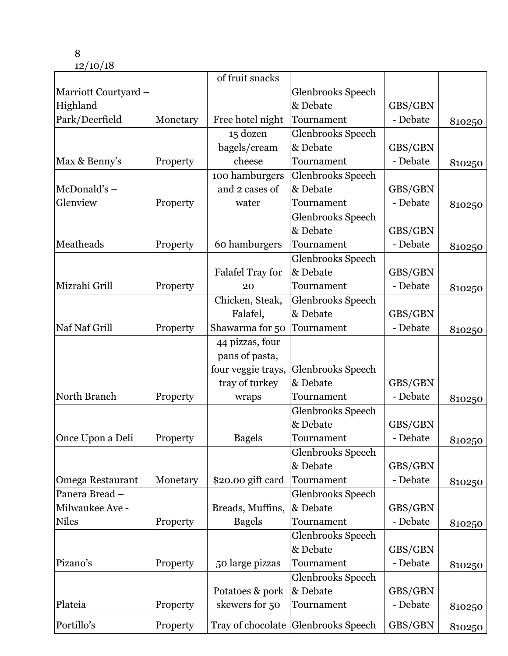|                      |          | of fruit snacks         |                                     |          |        |
|----------------------|----------|-------------------------|-------------------------------------|----------|--------|
| Marriott Courtyard - |          |                         | Glenbrooks Speech                   |          |        |
| Highland             |          |                         | & Debate                            | GBS/GBN  |        |
| Park/Deerfield       | Monetary | Free hotel night        | Tournament                          | - Debate | 810250 |
|                      |          | 15 dozen                | Glenbrooks Speech                   |          |        |
|                      |          | bagels/cream            | & Debate                            | GBS/GBN  |        |
| Max & Benny's        | Property | cheese                  | Tournament                          | - Debate | 810250 |
|                      |          | 100 hamburgers          | Glenbrooks Speech                   |          |        |
| $McDonald's -$       |          | and 2 cases of          | & Debate                            | GBS/GBN  |        |
| Glenview             | Property | water                   | Tournament                          | - Debate | 810250 |
|                      |          |                         | Glenbrooks Speech                   |          |        |
|                      |          |                         | & Debate                            | GBS/GBN  |        |
| Meatheads            | Property | 60 hamburgers           | Tournament                          | - Debate | 810250 |
|                      |          |                         | Glenbrooks Speech                   |          |        |
|                      |          | <b>Falafel Tray for</b> | & Debate                            | GBS/GBN  |        |
| Mizrahi Grill        | Property | 20                      | Tournament                          | - Debate | 810250 |
|                      |          | Chicken, Steak,         | Glenbrooks Speech                   |          |        |
|                      |          | Falafel,                | & Debate                            | GBS/GBN  |        |
| Naf Naf Grill        | Property | Shawarma for 50         | Tournament                          | - Debate | 810250 |
|                      |          | 44 pizzas, four         |                                     |          |        |
|                      |          | pans of pasta,          |                                     |          |        |
|                      |          | four veggie trays,      | Glenbrooks Speech                   |          |        |
|                      |          | tray of turkey          | & Debate                            | GBS/GBN  |        |
| North Branch         | Property | wraps                   | Tournament                          | - Debate | 810250 |
|                      |          |                         | Glenbrooks Speech                   |          |        |
|                      |          |                         | & Debate                            | GBS/GBN  |        |
| Once Upon a Deli     | Property | <b>Bagels</b>           | Tournament                          | - Debate | 810250 |
|                      |          |                         | Glenbrooks Speech                   |          |        |
|                      |          |                         | & Debate                            | GBS/GBN  |        |
| Omega Restaurant     | Monetary | \$20.00 gift card       | Tournament                          | - Debate | 810250 |
| Panera Bread -       |          |                         | Glenbrooks Speech                   |          |        |
| Milwaukee Ave -      |          | Breads, Muffins,        | & Debate                            | GBS/GBN  |        |
| <b>Niles</b>         | Property | <b>Bagels</b>           | Tournament                          | - Debate | 810250 |
|                      |          |                         | Glenbrooks Speech                   |          |        |
|                      |          |                         | & Debate                            | GBS/GBN  |        |
| Pizano's             | Property | 50 large pizzas         | Tournament                          | - Debate | 810250 |
|                      |          |                         | Glenbrooks Speech                   |          |        |
|                      |          | Potatoes & pork         | & Debate                            | GBS/GBN  |        |
| Plateia              | Property | skewers for 50          | Tournament                          | - Debate | 810250 |
| Portillo's           | Property |                         | Tray of chocolate Glenbrooks Speech | GBS/GBN  | 810250 |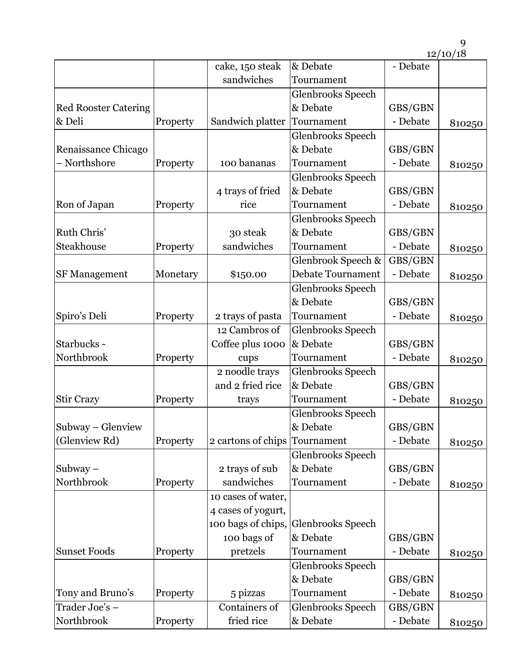9

|                             |          |                    |                          |          | 12/10/18 |
|-----------------------------|----------|--------------------|--------------------------|----------|----------|
|                             |          | cake, 150 steak    | & Debate                 | - Debate |          |
|                             |          | sandwiches         | Tournament               |          |          |
|                             |          |                    | <b>Glenbrooks Speech</b> |          |          |
| <b>Red Rooster Catering</b> |          |                    | & Debate                 | GBS/GBN  |          |
| & Deli                      | Property | Sandwich platter   | Tournament               | - Debate | 810250   |
|                             |          |                    | Glenbrooks Speech        |          |          |
| Renaissance Chicago         |          |                    | & Debate                 | GBS/GBN  |          |
| - Northshore                | Property | 100 bananas        | Tournament               | - Debate | 810250   |
|                             |          |                    | Glenbrooks Speech        |          |          |
|                             |          | 4 trays of fried   | & Debate                 | GBS/GBN  |          |
| Ron of Japan                | Property | rice               | Tournament               | - Debate | 810250   |
|                             |          |                    | Glenbrooks Speech        |          |          |
| Ruth Chris'                 |          | 30 steak           | & Debate                 | GBS/GBN  |          |
| Steakhouse                  | Property | sandwiches         | Tournament               | - Debate | 810250   |
|                             |          |                    | Glenbrook Speech &       | GBS/GBN  |          |
| <b>SF Management</b>        | Monetary | \$150.00           | <b>Debate Tournament</b> | - Debate | 810250   |
|                             |          |                    | Glenbrooks Speech        |          |          |
|                             |          |                    | & Debate                 | GBS/GBN  |          |
| Spiro's Deli                | Property | 2 trays of pasta   | Tournament               | - Debate | 810250   |
|                             |          | 12 Cambros of      | Glenbrooks Speech        |          |          |
| Starbucks -                 |          | Coffee plus 1000   | & Debate                 | GBS/GBN  |          |
| Northbrook                  | Property | cups               | Tournament               | - Debate | 810250   |
|                             |          | 2 noodle trays     | Glenbrooks Speech        |          |          |
|                             |          | and 2 fried rice   | & Debate                 | GBS/GBN  |          |
| <b>Stir Crazy</b>           | Property | trays              | Tournament               | - Debate | 810250   |
|                             |          |                    | Glenbrooks Speech        |          |          |
| Subway – Glenview           |          |                    | & Debate                 | GBS/GBN  |          |
| (Glenview Rd)               | Property | 2 cartons of chips | Tournament               | - Debate | 810250   |
|                             |          |                    | Glenbrooks Speech        |          |          |
| Subway $-$                  |          | 2 trays of sub     | & Debate                 | GBS/GBN  |          |
| Northbrook                  | Property | sandwiches         | Tournament               | - Debate | 810250   |
|                             |          | 10 cases of water, |                          |          |          |
|                             |          | 4 cases of yogurt, |                          |          |          |
|                             |          | 100 bags of chips, | Glenbrooks Speech        |          |          |
|                             |          | 100 bags of        | & Debate                 | GBS/GBN  |          |
| <b>Sunset Foods</b>         | Property | pretzels           | Tournament               | - Debate | 810250   |
|                             |          |                    | Glenbrooks Speech        |          |          |
|                             |          |                    | & Debate                 | GBS/GBN  |          |
| Tony and Bruno's            | Property | 5 pizzas           | Tournament               | - Debate | 810250   |
| Trader Joe's –              |          | Containers of      | Glenbrooks Speech        | GBS/GBN  |          |
| Northbrook                  | Property | fried rice         | & Debate                 | - Debate | 810250   |
|                             |          |                    |                          |          |          |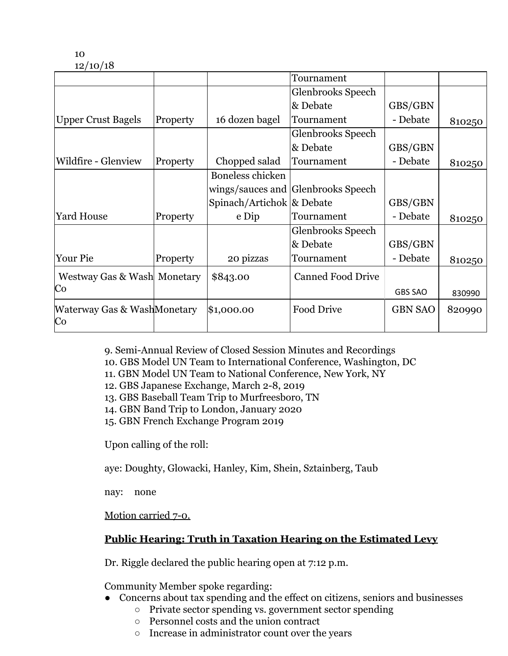|                                   |          |                           | Tournament                         |                |        |
|-----------------------------------|----------|---------------------------|------------------------------------|----------------|--------|
|                                   |          |                           | Glenbrooks Speech                  |                |        |
|                                   |          |                           | & Debate                           | GBS/GBN        |        |
| <b>Upper Crust Bagels</b>         | Property | 16 dozen bagel            | Tournament                         | - Debate       | 810250 |
|                                   |          |                           | Glenbrooks Speech                  |                |        |
|                                   |          |                           | & Debate                           | GBS/GBN        |        |
| Wildfire - Glenview               | Property | Chopped salad             | Tournament                         | - Debate       | 810250 |
|                                   |          | Boneless chicken          |                                    |                |        |
|                                   |          |                           | wings/sauces and Glenbrooks Speech |                |        |
|                                   |          | Spinach/Artichok & Debate |                                    | GBS/GBN        |        |
| <b>Yard House</b>                 | Property | e Dip                     | Tournament                         | - Debate       | 810250 |
|                                   |          |                           | Glenbrooks Speech                  |                |        |
|                                   |          |                           | & Debate                           | GBS/GBN        |        |
| Your Pie                          | Property | 20 pizzas                 | Tournament                         | - Debate       | 810250 |
| Westway Gas & Wash Monetary       |          | \$843.00                  | <b>Canned Food Drive</b>           |                |        |
| Co                                |          |                           |                                    | <b>GBS SAO</b> | 830990 |
| Waterway Gas & WashMonetary<br>Co |          | \$1,000.00                | <b>Food Drive</b>                  | <b>GBN SAO</b> | 820990 |

9. Semi-Annual Review of Closed Session Minutes and Recordings

10. GBS Model UN Team to International Conference, Washington, DC

- 11. GBN Model UN Team to National Conference, New York, NY
- 12. GBS Japanese Exchange, March 2-8, 2019
- 13. GBS Baseball Team Trip to Murfreesboro, TN
- 14. GBN Band Trip to London, January 2020
- 15. GBN French Exchange Program 2019

Upon calling of the roll:

aye: Doughty, Glowacki, Hanley, Kim, Shein, Sztainberg, Taub

nay: none

Motion carried 7-0.

# **Public Hearing: Truth in Taxation Hearing on the Estimated Levy**

Dr. Riggle declared the public hearing open at 7:12 p.m.

Community Member spoke regarding:

- Concerns about tax spending and the effect on citizens, seniors and businesses
	- Private sector spending vs. government sector spending
	- Personnel costs and the union contract
- $h_{\text{max}}$  and document doctors. The state  $\sigma$  and  $\sigma$  are  $\sigma$   $\sigma$  and  $\sigma$ ○ Increase in administrator count over the years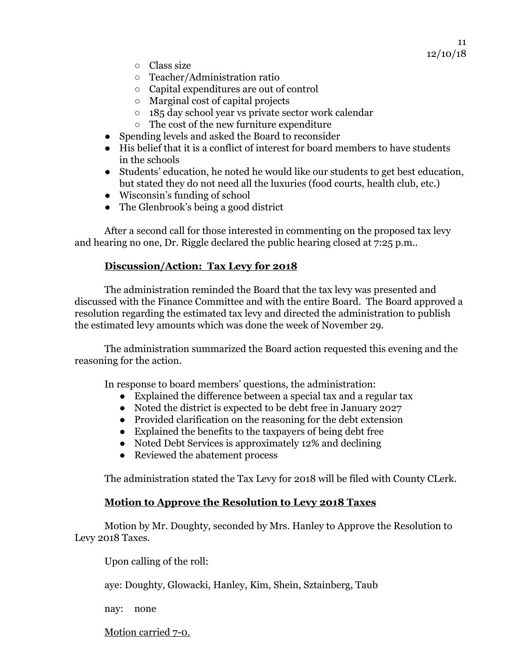- Class size
- Teacher/Administration ratio
- Capital expenditures are out of control
- Marginal cost of capital projects
- 185 day school year vs private sector work calendar
- The cost of the new furniture expenditure
- Spending levels and asked the Board to reconsider
- His belief that it is a conflict of interest for board members to have students in the schools
- Students' education, he noted he would like our students to get best education, but stated they do not need all the luxuries (food courts, health club, etc.)
- Wisconsin's funding of school
- The Glenbrook's being a good district

After a second call for those interested in commenting on the proposed tax levy and hearing no one, Dr. Riggle declared the public hearing closed at 7:25 p.m..

### **Discussion/Action: Tax Levy for 2018**

The administration reminded the Board that the tax levy was presented and discussed with the Finance Committee and with the entire Board. The Board approved a resolution regarding the estimated tax levy and directed the administration to publish the estimated levy amounts which was done the week of November 29.

The administration summarized the Board action requested this evening and the reasoning for the action.

In response to board members' questions, the administration:

- Explained the difference between a special tax and a regular tax
- Noted the district is expected to be debt free in January 2027
- Provided clarification on the reasoning for the debt extension
- Explained the benefits to the taxpayers of being debt free
- Noted Debt Services is approximately 12% and declining
- Reviewed the abatement process

The administration stated the Tax Levy for 2018 will be filed with County CLerk.

### **Motion to Approve the Resolution to Levy 2018 Taxes**

Motion by Mr. Doughty, seconded by Mrs. Hanley to Approve the Resolution to Levy 2018 Taxes.

Upon calling of the roll:

aye: Doughty, Glowacki, Hanley, Kim, Shein, Sztainberg, Taub

nay: none

https://docs.google.com/docs.ao/docs.google.com/document/document/document/document/document/document/document<br>And for the communication of the communication of the communication of the communication of the communication Motion carried 7-0.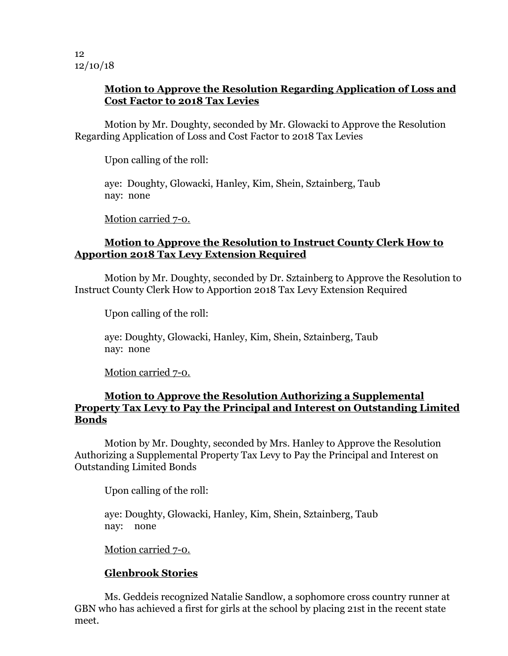### **Motion to Approve the Resolution Regarding Application of Loss and Cost Factor to 2018 Tax Levies**

Motion by Mr. Doughty, seconded by Mr. Glowacki to Approve the Resolution Regarding Application of Loss and Cost Factor to 2018 Tax Levies

Upon calling of the roll:

aye: Doughty, Glowacki, Hanley, Kim, Shein, Sztainberg, Taub nay: none

Motion carried 7-0.

### **Motion to Approve the Resolution to Instruct County Clerk How to Apportion 2018 Tax Levy Extension Required**

Motion by Mr. Doughty, seconded by Dr. Sztainberg to Approve the Resolution to Instruct County Clerk How to Apportion 2018 Tax Levy Extension Required

Upon calling of the roll:

aye: Doughty, Glowacki, Hanley, Kim, Shein, Sztainberg, Taub nay: none

Motion carried 7-0.

### **Motion to Approve the Resolution Authorizing a Supplemental Property Tax Levy to Pay the Principal and Interest on Outstanding Limited Bonds**

Motion by Mr. Doughty, seconded by Mrs. Hanley to Approve the Resolution Authorizing a Supplemental Property Tax Levy to Pay the Principal and Interest on Outstanding Limited Bonds

Upon calling of the roll:

aye: Doughty, Glowacki, Hanley, Kim, Shein, Sztainberg, Taub nay: none

Motion carried 7-0.

### **Glenbrook Stories**

Ms. Geddeis recognized Natalie Sandlow, a sophomore cross country runner at GBN who has achieved a first for girls at the school by placing 21st in the recent state meet.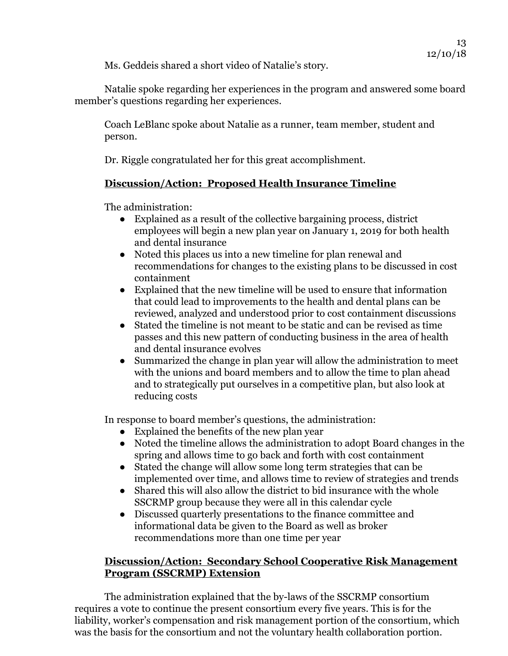Ms. Geddeis shared a short video of Natalie's story.

Natalie spoke regarding her experiences in the program and answered some board member's questions regarding her experiences.

Coach LeBlanc spoke about Natalie as a runner, team member, student and person.

Dr. Riggle congratulated her for this great accomplishment.

# **Discussion/Action: Proposed Health Insurance Timeline**

The administration:

- Explained as a result of the collective bargaining process, district employees will begin a new plan year on January 1, 2019 for both health and dental insurance
- Noted this places us into a new timeline for plan renewal and recommendations for changes to the existing plans to be discussed in cost containment
- Explained that the new timeline will be used to ensure that information that could lead to improvements to the health and dental plans can be reviewed, analyzed and understood prior to cost containment discussions
- Stated the timeline is not meant to be static and can be revised as time passes and this new pattern of conducting business in the area of health and dental insurance evolves
- Summarized the change in plan year will allow the administration to meet with the unions and board members and to allow the time to plan ahead and to strategically put ourselves in a competitive plan, but also look at reducing costs

In response to board member's questions, the administration:

- Explained the benefits of the new plan year
- Noted the timeline allows the administration to adopt Board changes in the spring and allows time to go back and forth with cost containment
- Stated the change will allow some long term strategies that can be implemented over time, and allows time to review of strategies and trends
- Shared this will also allow the district to bid insurance with the whole SSCRMP group because they were all in this calendar cycle
- Discussed quarterly presentations to the finance committee and informational data be given to the Board as well as broker recommendations more than one time per year

### **Discussion/Action: Secondary School Cooperative Risk Management Program (SSCRMP) Extension**

https://docs.google.com/docs.google.com/document/d/ $\frac{1}{\epsilon}$ The administration explained that the by-laws of the SSCRMP consortium requires a vote to continue the present consortium every five years. This is for the liability, worker's compensation and risk management portion of the consortium, which was the basis for the consortium and not the voluntary health collaboration portion.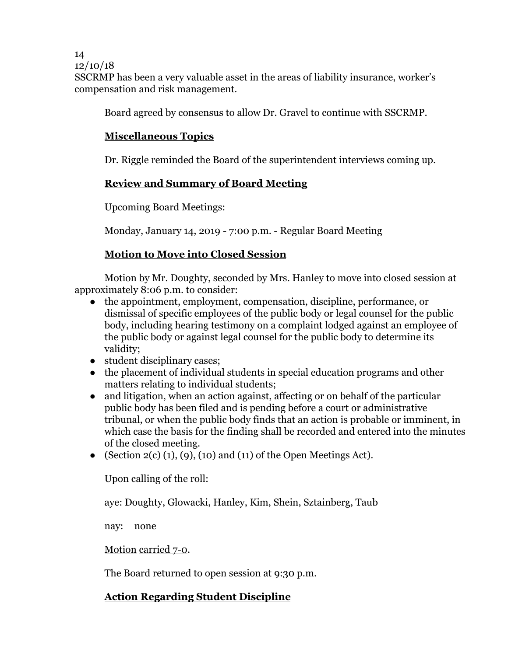SSCRMP has been a very valuable asset in the areas of liability insurance, worker's compensation and risk management.

Board agreed by consensus to allow Dr. Gravel to continue with SSCRMP.

# **Miscellaneous Topics**

Dr. Riggle reminded the Board of the superintendent interviews coming up.

# **Review and Summary of Board Meeting**

Upcoming Board Meetings:

Monday, January 14, 2019 - 7:00 p.m. - Regular Board Meeting

# **Motion to Move into Closed Session**

Motion by Mr. Doughty, seconded by Mrs. Hanley to move into closed session at approximately 8:06 p.m. to consider:

- the appointment, employment, compensation, discipline, performance, or dismissal of specific employees of the public body or legal counsel for the public body, including hearing testimony on a complaint lodged against an employee of the public body or against legal counsel for the public body to determine its validity;
- student disciplinary cases:
- the placement of individual students in special education programs and other matters relating to individual students;
- and litigation, when an action against, affecting or on behalf of the particular public body has been filed and is pending before a court or administrative tribunal, or when the public body finds that an action is probable or imminent, in which case the basis for the finding shall be recorded and entered into the minutes of the closed meeting.
- (Section  $2(c)$  (1), (9), (10) and (11) of the Open Meetings Act).

Upon calling of the roll:

aye: Doughty, Glowacki, Hanley, Kim, Shein, Sztainberg, Taub

nay: none

Motion carried 7-0.

The Board returned to open session at 9:30 p.m.

# **Action Regarding Student Discipline**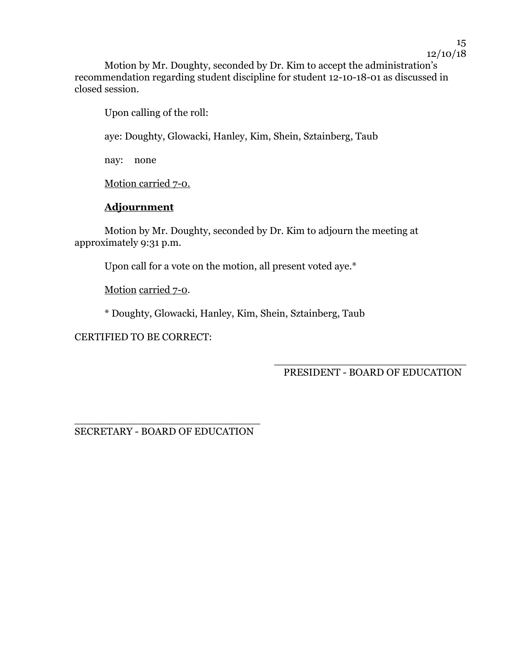Motion by Mr. Doughty, seconded by Dr. Kim to accept the administration's recommendation regarding student discipline for student 12-10-18-01 as discussed in closed session.

Upon calling of the roll:

aye: Doughty, Glowacki, Hanley, Kim, Shein, Sztainberg, Taub

nay: none

Motion carried 7-0.

# **Adjournment**

Motion by Mr. Doughty, seconded by Dr. Kim to adjourn the meeting at approximately 9:31 p.m.

Upon call for a vote on the motion, all present voted aye.\*

Motion carried 7-0.

\* Doughty, Glowacki, Hanley, Kim, Shein, Sztainberg, Taub

CERTIFIED TO BE CORRECT:

\_\_\_\_\_\_\_\_\_\_\_\_\_\_\_\_\_\_\_\_\_\_\_\_\_\_\_\_\_\_ PRESIDENT - BOARD OF EDUCATION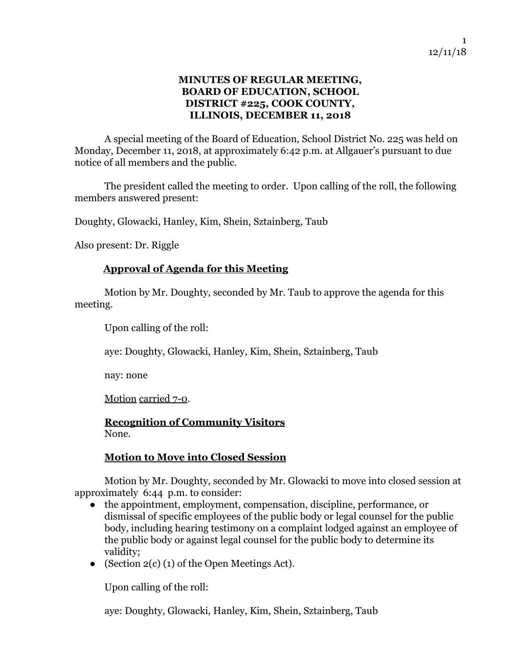### **MINUTES OF REGULAR MEETING, BOARD OF EDUCATION, SCHOOL DISTRICT #225, COOK COUNTY, ILLINOIS, DECEMBER 11, 2018**

A special meeting of the Board of Education, School District No. 225 was held on Monday, December 11, 2018, at approximately 6:42 p.m. at Allgauer's pursuant to due notice of all members and the public.

The president called the meeting to order. Upon calling of the roll, the following members answered present:

Doughty, Glowacki, Hanley, Kim, Shein, Sztainberg, Taub

Also present: Dr. Riggle

### **Approval of Agenda for this Meeting**

Motion by Mr. Doughty, seconded by Mr. Taub to approve the agenda for this meeting.

Upon calling of the roll:

aye: Doughty, Glowacki, Hanley, Kim, Shein, Sztainberg, Taub

nay: none

Motion carried 7-0.

**Recognition of Community Visitors** None.

### **Motion to Move into Closed Session**

Motion by Mr. Doughty, seconded by Mr. Glowacki to move into closed session at approximately 6:44 p.m. to consider:

- the appointment, employment, compensation, discipline, performance, or dismissal of specific employees of the public body or legal counsel for the public body, including hearing testimony on a complaint lodged against an employee of the public body or against legal counsel for the public body to determine its validity;
- (Section  $2(c)$  (1) of the Open Meetings Act).

Upon calling of the roll:

aye: Doughty, Glowacki, Hanley, Kim, Shein, Sztainberg, Taub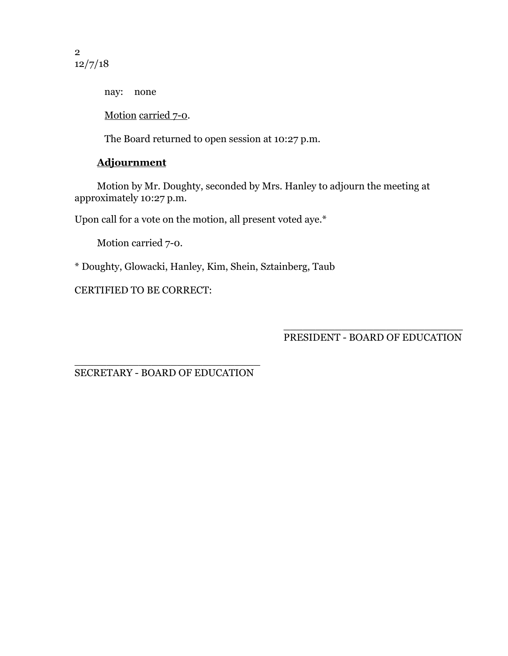2 12/7/18

nay: none

Motion carried 7-0.

The Board returned to open session at 10:27 p.m.

# **Adjournment**

Motion by Mr. Doughty, seconded by Mrs. Hanley to adjourn the meeting at approximately 10:27 p.m.

Upon call for a vote on the motion, all present voted aye.\*

Motion carried 7-0.

\* Doughty, Glowacki, Hanley, Kim, Shein, Sztainberg, Taub

CERTIFIED TO BE CORRECT:

\_\_\_\_\_\_\_\_\_\_\_\_\_\_\_\_\_\_\_\_\_\_\_\_\_\_\_\_ PRESIDENT - BOARD OF EDUCATION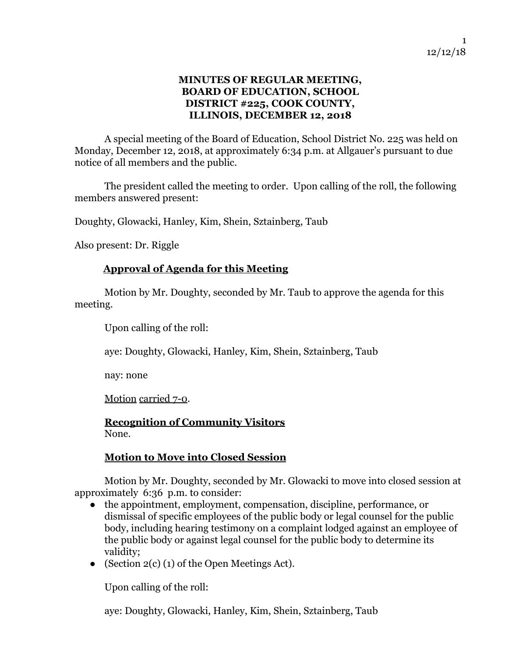### **MINUTES OF REGULAR MEETING, BOARD OF EDUCATION, SCHOOL DISTRICT #225, COOK COUNTY, ILLINOIS, DECEMBER 12, 2018**

A special meeting of the Board of Education, School District No. 225 was held on Monday, December 12, 2018, at approximately 6:34 p.m. at Allgauer's pursuant to due notice of all members and the public.

The president called the meeting to order. Upon calling of the roll, the following members answered present:

Doughty, Glowacki, Hanley, Kim, Shein, Sztainberg, Taub

Also present: Dr. Riggle

### **Approval of Agenda for this Meeting**

Motion by Mr. Doughty, seconded by Mr. Taub to approve the agenda for this meeting.

Upon calling of the roll:

aye: Doughty, Glowacki, Hanley, Kim, Shein, Sztainberg, Taub

nay: none

Motion carried 7-0.

**Recognition of Community Visitors** None.

### **Motion to Move into Closed Session**

Motion by Mr. Doughty, seconded by Mr. Glowacki to move into closed session at approximately 6:36 p.m. to consider:

- the appointment, employment, compensation, discipline, performance, or dismissal of specific employees of the public body or legal counsel for the public body, including hearing testimony on a complaint lodged against an employee of the public body or against legal counsel for the public body to determine its validity;
- (Section  $2(c)$  (1) of the Open Meetings Act).

Upon calling of the roll:

aye: Doughty, Glowacki, Hanley, Kim, Shein, Sztainberg, Taub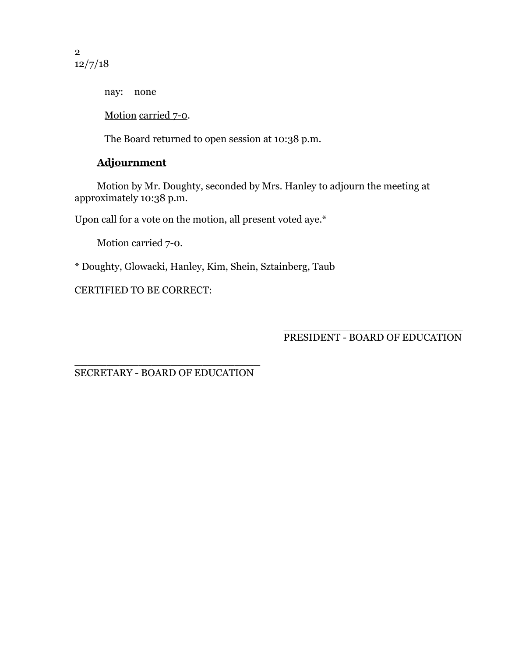2 12/7/18

nay: none

Motion carried 7-0.

The Board returned to open session at 10:38 p.m.

# **Adjournment**

Motion by Mr. Doughty, seconded by Mrs. Hanley to adjourn the meeting at approximately 10:38 p.m.

Upon call for a vote on the motion, all present voted aye.\*

Motion carried 7-0.

\* Doughty, Glowacki, Hanley, Kim, Shein, Sztainberg, Taub

CERTIFIED TO BE CORRECT:

\_\_\_\_\_\_\_\_\_\_\_\_\_\_\_\_\_\_\_\_\_\_\_\_\_\_\_\_ PRESIDENT - BOARD OF EDUCATION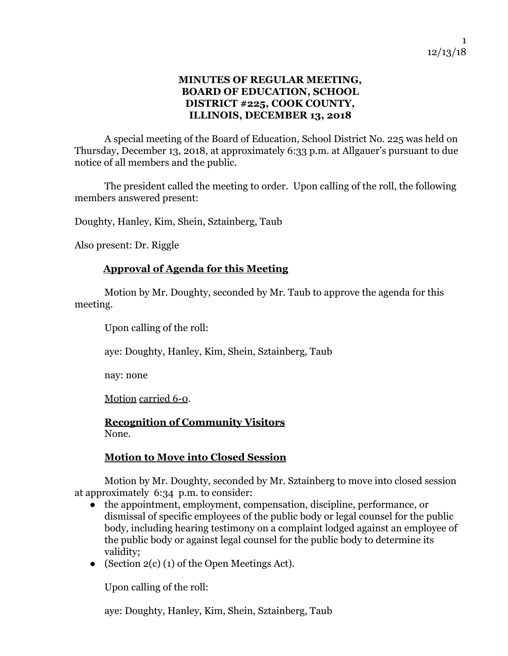### **MINUTES OF REGULAR MEETING, BOARD OF EDUCATION, SCHOOL DISTRICT #225, COOK COUNTY, ILLINOIS, DECEMBER 13, 2018**

A special meeting of the Board of Education, School District No. 225 was held on Thursday, December 13, 2018, at approximately 6:33 p.m. at Allgauer's pursuant to due notice of all members and the public.

The president called the meeting to order. Upon calling of the roll, the following members answered present:

Doughty, Hanley, Kim, Shein, Sztainberg, Taub

Also present: Dr. Riggle

### **Approval of Agenda for this Meeting**

Motion by Mr. Doughty, seconded by Mr. Taub to approve the agenda for this meeting.

Upon calling of the roll:

aye: Doughty, Hanley, Kim, Shein, Sztainberg, Taub

nay: none

Motion carried 6-0.

**Recognition of Community Visitors** None.

### **Motion to Move into Closed Session**

Motion by Mr. Doughty, seconded by Mr. Sztainberg to move into closed session at approximately 6:34 p.m. to consider:

- the appointment, employment, compensation, discipline, performance, or dismissal of specific employees of the public body or legal counsel for the public body, including hearing testimony on a complaint lodged against an employee of the public body or against legal counsel for the public body to determine its validity;
- (Section  $2(c)$  (1) of the Open Meetings Act).

Upon calling of the roll:

aye: Doughty, Hanley, Kim, Shein, Sztainberg, Taub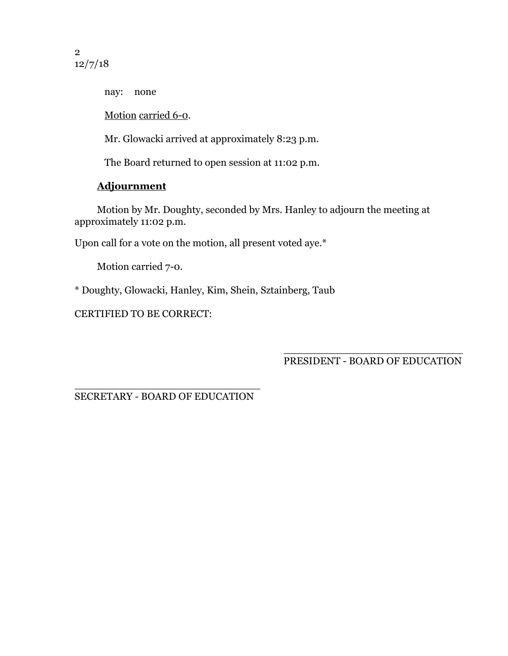2 12/7/18

nay: none

Motion carried 6-0.

Mr. Glowacki arrived at approximately 8:23 p.m.

The Board returned to open session at 11:02 p.m.

# **Adjournment**

Motion by Mr. Doughty, seconded by Mrs. Hanley to adjourn the meeting at approximately 11:02 p.m.

Upon call for a vote on the motion, all present voted aye.\*

Motion carried 7-0.

\* Doughty, Glowacki, Hanley, Kim, Shein, Sztainberg, Taub

CERTIFIED TO BE CORRECT:

\_\_\_\_\_\_\_\_\_\_\_\_\_\_\_\_\_\_\_\_\_\_\_\_\_\_\_\_ PRESIDENT - BOARD OF EDUCATION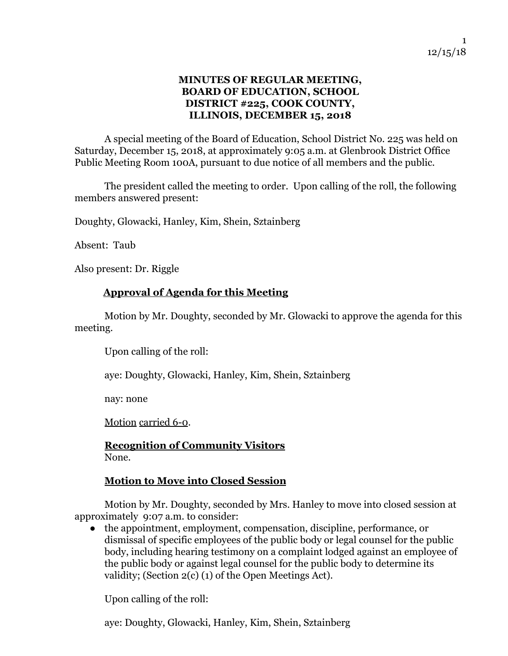### **MINUTES OF REGULAR MEETING, BOARD OF EDUCATION, SCHOOL DISTRICT #225, COOK COUNTY, ILLINOIS, DECEMBER 15, 2018**

A special meeting of the Board of Education, School District No. 225 was held on Saturday, December 15, 2018, at approximately 9:05 a.m. at Glenbrook District Office Public Meeting Room 100A, pursuant to due notice of all members and the public.

The president called the meeting to order. Upon calling of the roll, the following members answered present:

Doughty, Glowacki, Hanley, Kim, Shein, Sztainberg

Absent: Taub

Also present: Dr. Riggle

### **Approval of Agenda for this Meeting**

Motion by Mr. Doughty, seconded by Mr. Glowacki to approve the agenda for this meeting.

Upon calling of the roll:

aye: Doughty, Glowacki, Hanley, Kim, Shein, Sztainberg

nay: none

Motion carried 6-0.

**Recognition of Community Visitors** None.

### **Motion to Move into Closed Session**

Motion by Mr. Doughty, seconded by Mrs. Hanley to move into closed session at approximately 9:07 a.m. to consider:

● the appointment, employment, compensation, discipline, performance, or dismissal of specific employees of the public body or legal counsel for the public body, including hearing testimony on a complaint lodged against an employee of the public body or against legal counsel for the public body to determine its validity; (Section 2(c) (1) of the Open Meetings Act).

Upon calling of the roll:

aye: Doughty, Glowacki, Hanley, Kim, Shein, Sztainberg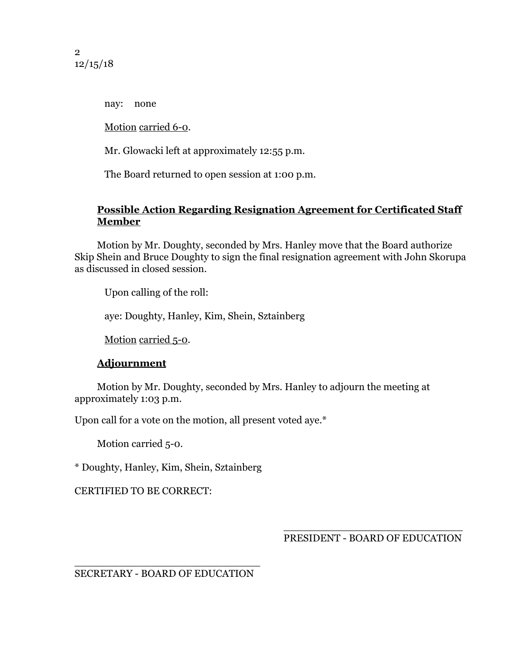2 12/15/18

nay: none

Motion carried 6-0.

Mr. Glowacki left at approximately 12:55 p.m.

The Board returned to open session at 1:00 p.m.

### **Possible Action Regarding Resignation Agreement for Certificated Staff Member**

Motion by Mr. Doughty, seconded by Mrs. Hanley move that the Board authorize Skip Shein and Bruce Doughty to sign the final resignation agreement with John Skorupa as discussed in closed session.

Upon calling of the roll:

aye: Doughty, Hanley, Kim, Shein, Sztainberg

Motion carried 5-0.

### **Adjournment**

Motion by Mr. Doughty, seconded by Mrs. Hanley to adjourn the meeting at approximately 1:03 p.m.

Upon call for a vote on the motion, all present voted aye.\*

Motion carried 5-0.

\* Doughty, Hanley, Kim, Shein, Sztainberg

CERTIFIED TO BE CORRECT:

\_\_\_\_\_\_\_\_\_\_\_\_\_\_\_\_\_\_\_\_\_\_\_\_\_\_\_\_ PRESIDENT - BOARD OF EDUCATION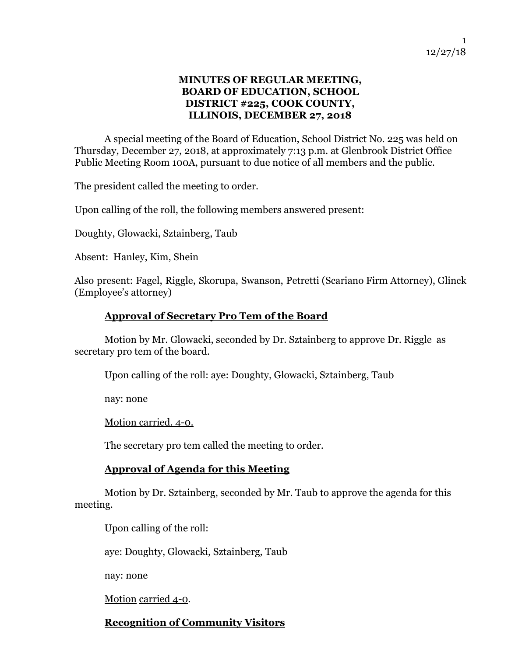### **MINUTES OF REGULAR MEETING, BOARD OF EDUCATION, SCHOOL DISTRICT #225, COOK COUNTY, ILLINOIS, DECEMBER 27, 2018**

A special meeting of the Board of Education, School District No. 225 was held on Thursday, December 27, 2018, at approximately 7:13 p.m. at Glenbrook District Office Public Meeting Room 100A, pursuant to due notice of all members and the public.

The president called the meeting to order.

Upon calling of the roll, the following members answered present:

Doughty, Glowacki, Sztainberg, Taub

Absent: Hanley, Kim, Shein

Also present: Fagel, Riggle, Skorupa, Swanson, Petretti (Scariano Firm Attorney), Glinck (Employee's attorney)

### **Approval of Secretary Pro Tem of the Board**

Motion by Mr. Glowacki, seconded by Dr. Sztainberg to approve Dr. Riggle as secretary pro tem of the board.

Upon calling of the roll: aye: Doughty, Glowacki, Sztainberg, Taub

nay: none

Motion carried. 4-0.

The secretary pro tem called the meeting to order.

### **Approval of Agenda for this Meeting**

Motion by Dr. Sztainberg, seconded by Mr. Taub to approve the agenda for this meeting.

Upon calling of the roll:

aye: Doughty, Glowacki, Sztainberg, Taub

nay: none

Motion carried 4-0.

### **Recognition of Community Visitors**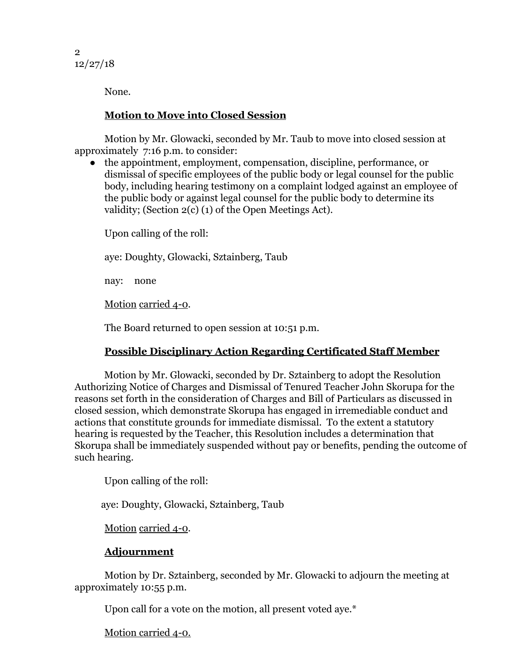2 12/27/18

None.

### **Motion to Move into Closed Session**

Motion by Mr. Glowacki, seconded by Mr. Taub to move into closed session at approximately 7:16 p.m. to consider:

● the appointment, employment, compensation, discipline, performance, or dismissal of specific employees of the public body or legal counsel for the public body, including hearing testimony on a complaint lodged against an employee of the public body or against legal counsel for the public body to determine its validity; (Section 2(c) (1) of the Open Meetings Act).

Upon calling of the roll:

aye: Doughty, Glowacki, Sztainberg, Taub

nay: none

Motion carried 4-0.

The Board returned to open session at 10:51 p.m.

# **Possible Disciplinary Action Regarding Certificated Staff Member**

 Motion by Mr. Glowacki, seconded by Dr. Sztainberg to adopt the Resolution Authorizing Notice of Charges and Dismissal of Tenured Teacher John Skorupa for the reasons set forth in the consideration of Charges and Bill of Particulars as discussed in closed session, which demonstrate Skorupa has engaged in irremediable conduct and actions that constitute grounds for immediate dismissal. To the extent a statutory hearing is requested by the Teacher, this Resolution includes a determination that Skorupa shall be immediately suspended without pay or benefits, pending the outcome of such hearing.

Upon calling of the roll:

aye: Doughty, Glowacki, Sztainberg, Taub

Motion carried 4-0.

# **Adjournment**

Motion by Dr. Sztainberg, seconded by Mr. Glowacki to adjourn the meeting at approximately 10:55 p.m.

Upon call for a vote on the motion, all present voted aye.\*

https://docs.google.com/docs.google.com/docs.google.com/document/document/document/document/document/document/ Motion carried 4-0.